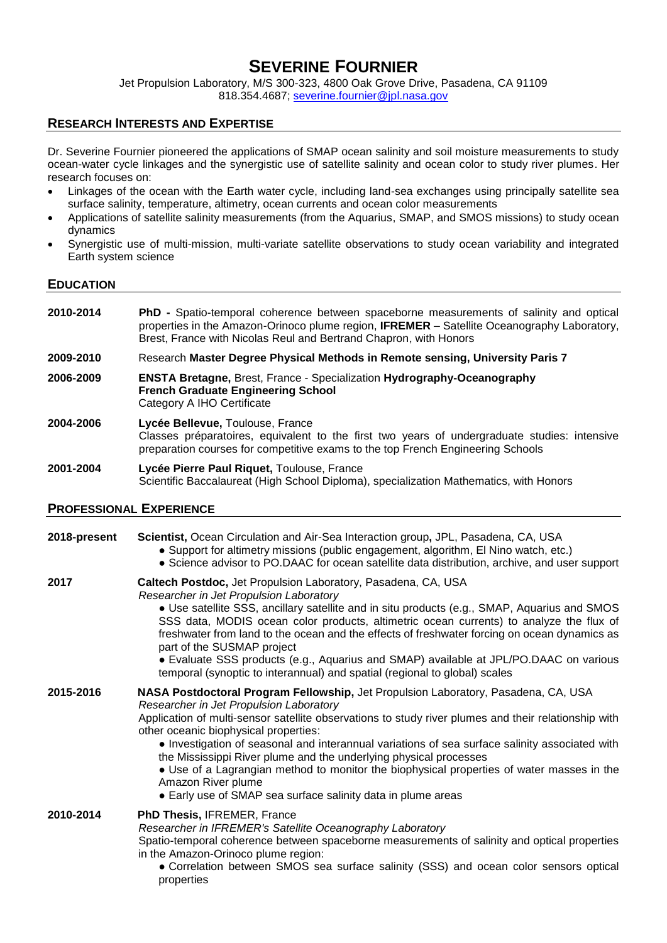## **SEVERINE FOURNIER**

Jet Propulsion Laboratory, M/S 300-323, 4800 Oak Grove Drive, Pasadena, CA 91109 818.354.4687; severine.fournier@jpl.nasa.gov

## **RESEARCH INTERESTS AND EXPERTISE**

Dr. Severine Fournier pioneered the applications of SMAP ocean salinity and soil moisture measurements to study ocean-water cycle linkages and the synergistic use of satellite salinity and ocean color to study river plumes. Her research focuses on:

- Linkages of the ocean with the Earth water cycle, including land-sea exchanges using principally satellite sea surface salinity, temperature, altimetry, ocean currents and ocean color measurements
- Applications of satellite salinity measurements (from the Aquarius, SMAP, and SMOS missions) to study ocean dynamics
- Synergistic use of multi-mission, multi-variate satellite observations to study ocean variability and integrated Earth system science

## **EDUCATION**

- **2010-2014 PhD -** Spatio-temporal coherence between spaceborne measurements of salinity and optical properties in the Amazon-Orinoco plume region, **IFREMER** – Satellite Oceanography Laboratory, Brest, France with Nicolas Reul and Bertrand Chapron, with Honors
- **2009-2010** Research **Master Degree Physical Methods in Remote sensing, University Paris 7**
- **2006-2009 ENSTA Bretagne,** Brest, France Specialization **Hydrography-Oceanography French Graduate Engineering School** Category A IHO Certificate
- **2004-2006 Lycée Bellevue,** Toulouse, France Classes préparatoires, equivalent to the first two years of undergraduate studies: intensive preparation courses for competitive exams to the top French Engineering Schools
- **2001-2004 Lycée Pierre Paul Riquet,** Toulouse, France Scientific Baccalaureat (High School Diploma), specialization Mathematics, with Honors

## **PROFESSIONAL EXPERIENCE**

#### **2018-present Scientist,** Ocean Circulation and Air-Sea Interaction group**,** JPL, Pasadena, CA, USA ● Support for altimetry missions (public engagement, algorithm, El Nino watch, etc.)

● Science advisor to PO.DAAC for ocean satellite data distribution, archive, and user support

# **2017 Caltech Postdoc,** Jet Propulsion Laboratory, Pasadena, CA, USA

*Researcher in Jet Propulsion Laboratory*

● Use satellite SSS, ancillary satellite and in situ products (e.g., SMAP, Aquarius and SMOS SSS data, MODIS ocean color products, altimetric ocean currents) to analyze the flux of freshwater from land to the ocean and the effects of freshwater forcing on ocean dynamics as part of the SUSMAP project

● Evaluate SSS products (e.g., Aquarius and SMAP) available at JPL/PO.DAAC on various temporal (synoptic to interannual) and spatial (regional to global) scales

#### **2015-2016 NASA Postdoctoral Program Fellowship,** Jet Propulsion Laboratory, Pasadena, CA, USA *Researcher in Jet Propulsion Laboratory* Application of multi-sensor satellite observations to study river plumes and their relationship with other oceanic biophysical properties:

● Investigation of seasonal and interannual variations of sea surface salinity associated with the Mississippi River plume and the underlying physical processes

● Use of a Lagrangian method to monitor the biophysical properties of water masses in the Amazon River plume

● Early use of SMAP sea surface salinity data in plume areas

## **2010-2014 PhD Thesis,** IFREMER, France *Researcher in IFREMER's Satellite Oceanography Laboratory* Spatio-temporal coherence between spaceborne measurements of salinity and optical properties in the Amazon-Orinoco plume region:

● Correlation between SMOS sea surface salinity (SSS) and ocean color sensors optical properties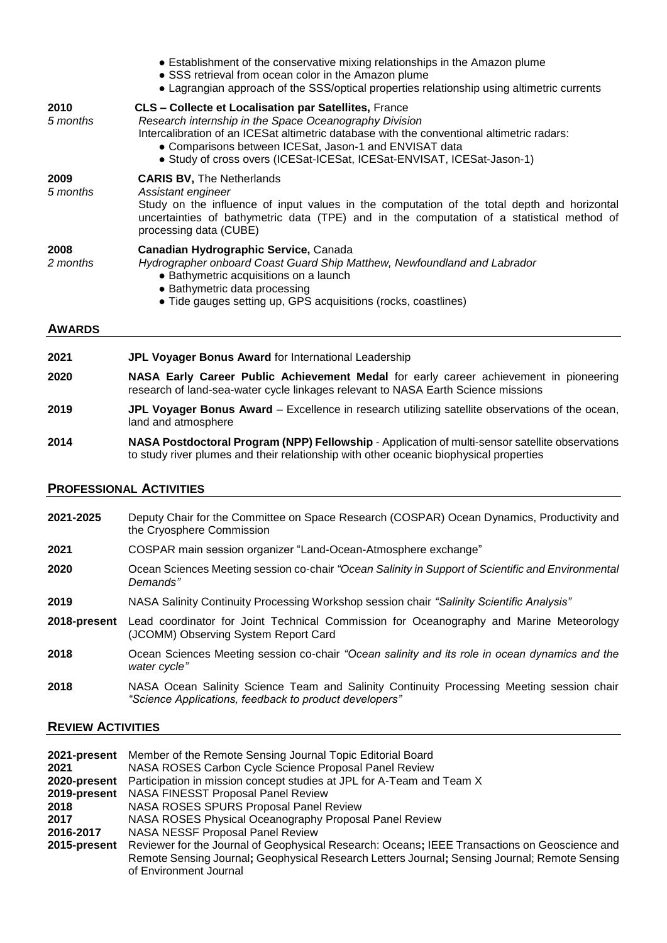|                  | • Establishment of the conservative mixing relationships in the Amazon plume<br>• SSS retrieval from ocean color in the Amazon plume<br>• Lagrangian approach of the SSS/optical properties relationship using altimetric currents                                                                                                                        |
|------------------|-----------------------------------------------------------------------------------------------------------------------------------------------------------------------------------------------------------------------------------------------------------------------------------------------------------------------------------------------------------|
| 2010<br>5 months | <b>CLS - Collecte et Localisation par Satellites, France</b><br>Research internship in the Space Oceanography Division<br>Intercalibration of an ICES at altimetric database with the conventional altimetric radars:<br>• Comparisons between ICESat, Jason-1 and ENVISAT data<br>• Study of cross overs (ICESat-ICESat, ICESat-ENVISAT, ICESat-Jason-1) |
| 2009<br>5 months | <b>CARIS BV, The Netherlands</b><br>Assistant engineer<br>Study on the influence of input values in the computation of the total depth and horizontal<br>uncertainties of bathymetric data (TPE) and in the computation of a statistical method of<br>processing data (CUBE)                                                                              |
| 2008<br>2 months | Canadian Hydrographic Service, Canada<br>Hydrographer onboard Coast Guard Ship Matthew, Newfoundland and Labrador<br>• Bathymetric acquisitions on a launch<br>• Bathymetric data processing<br>• Tide gauges setting up, GPS acquisitions (rocks, coastlines)                                                                                            |
| <b>AWARDS</b>    |                                                                                                                                                                                                                                                                                                                                                           |

- **2021 JPL Voyager Bonus Award** for International Leadership
- **2020 NASA Early Career Public Achievement Medal** for early career achievement in pioneering research of land-sea-water cycle linkages relevant to NASA Earth Science missions
- **2019 JPL Voyager Bonus Award** Excellence in research utilizing satellite observations of the ocean, land and atmosphere
- **2014 NASA Postdoctoral Program (NPP) Fellowship** Application of multi-sensor satellite observations to study river plumes and their relationship with other oceanic biophysical properties

## **PROFESSIONAL ACTIVITIES**

| 2021-2025    | Deputy Chair for the Committee on Space Research (COSPAR) Ocean Dynamics, Productivity and<br>the Cryosphere Commission                             |
|--------------|-----------------------------------------------------------------------------------------------------------------------------------------------------|
| 2021         | COSPAR main session organizer "Land-Ocean-Atmosphere exchange"                                                                                      |
| 2020         | Ocean Sciences Meeting session co-chair "Ocean Salinity in Support of Scientific and Environmental<br>Demands"                                      |
| 2019         | NASA Salinity Continuity Processing Workshop session chair "Salinity Scientific Analysis"                                                           |
| 2018-present | Lead coordinator for Joint Technical Commission for Oceanography and Marine Meteorology<br>(JCOMM) Observing System Report Card                     |
| 2018         | Ocean Sciences Meeting session co-chair "Ocean salinity and its role in ocean dynamics and the<br>water cycle"                                      |
| 2018         | NASA Ocean Salinity Science Team and Salinity Continuity Processing Meeting session chair<br>"Science Applications, feedback to product developers" |

## **REVIEW ACTIVITIES**

| 2021-present | Member of the Remote Sensing Journal Topic Editorial Board                                                                                                                                                  |
|--------------|-------------------------------------------------------------------------------------------------------------------------------------------------------------------------------------------------------------|
| 2021         | NASA ROSES Carbon Cycle Science Proposal Panel Review                                                                                                                                                       |
| 2020-present | Participation in mission concept studies at JPL for A-Team and Team X                                                                                                                                       |
| 2019-present | NASA FINESST Proposal Panel Review                                                                                                                                                                          |
| 2018         | NASA ROSES SPURS Proposal Panel Review                                                                                                                                                                      |
| 2017         | NASA ROSES Physical Oceanography Proposal Panel Review                                                                                                                                                      |
| 2016-2017    | <b>NASA NESSF Proposal Panel Review</b>                                                                                                                                                                     |
|              | 2015-present Reviewer for the Journal of Geophysical Research: Oceans; IEEE Transactions on Geoscience and<br>Remote Sensing Journal; Geophysical Research Letters Journal; Sensing Journal; Remote Sensing |
|              | of Environment Journal                                                                                                                                                                                      |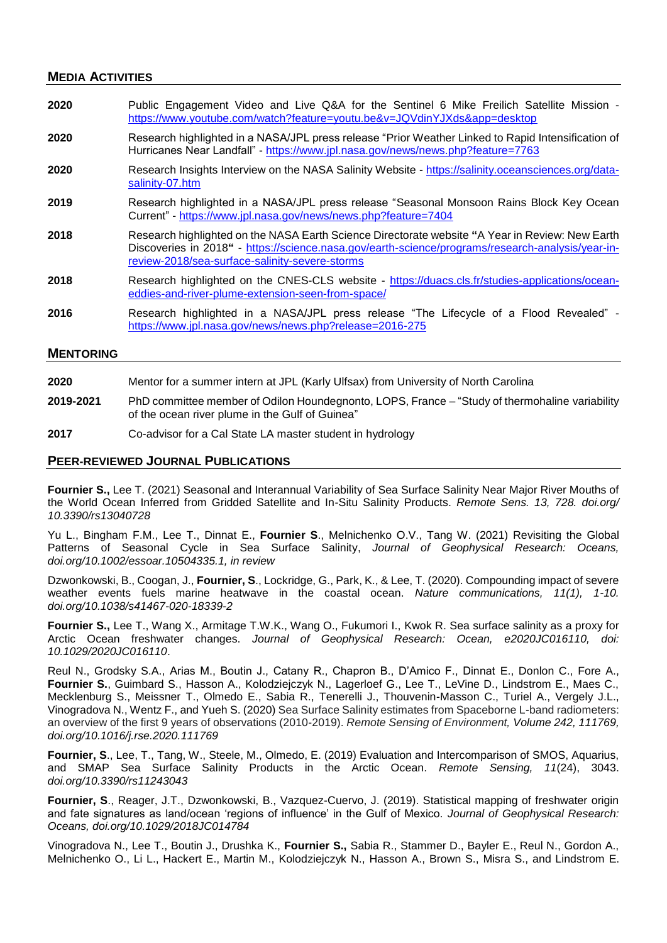### **MEDIA ACTIVITIES**

| 2020             | Public Engagement Video and Live Q&A for the Sentinel 6 Mike Freilich Satellite Mission -<br>https://www.youtube.com/watch?feature=youtu.be&v=JQVdinYJXds&app=desktop                                                                                  |
|------------------|--------------------------------------------------------------------------------------------------------------------------------------------------------------------------------------------------------------------------------------------------------|
| 2020             | Research highlighted in a NASA/JPL press release "Prior Weather Linked to Rapid Intensification of<br>Hurricanes Near Landfall" - https://www.jpl.nasa.gov/news/news.php?feature=7763                                                                  |
| 2020             | Research Insights Interview on the NASA Salinity Website - https://salinity.oceansciences.org/data-<br>salinity-07.htm                                                                                                                                 |
| 2019             | Research highlighted in a NASA/JPL press release "Seasonal Monsoon Rains Block Key Ocean<br>Current" - https://www.jpl.nasa.gov/news/news.php?feature=7404                                                                                             |
| 2018             | Research highlighted on the NASA Earth Science Directorate website "A Year in Review: New Earth<br>Discoveries in 2018" - https://science.nasa.gov/earth-science/programs/research-analysis/year-in-<br>review-2018/sea-surface-salinity-severe-storms |
| 2018             | Research highlighted on the CNES-CLS website - https://duacs.cls.fr/studies-applications/ocean-<br>eddies-and-river-plume-extension-seen-from-space/                                                                                                   |
| 2016             | Research highlighted in a NASA/JPL press release "The Lifecycle of a Flood Revealed" -<br>https://www.jpl.nasa.gov/news/news.php?release=2016-275                                                                                                      |
| <b>MENTORING</b> |                                                                                                                                                                                                                                                        |

- **2020** Mentor for a summer intern at JPL (Karly Ulfsax) from University of North Carolina **2019-2021** PhD committee member of Odilon Houndegnonto, LOPS, France – "Study of thermohaline variability of the ocean river plume in the Gulf of Guinea"
- **2017** Co-advisor for a Cal State LA master student in hydrology

#### **PEER-REVIEWED JOURNAL PUBLICATIONS**

**Fournier S.,** Lee T. (2021) Seasonal and Interannual Variability of Sea Surface Salinity Near Major River Mouths of the World Ocean Inferred from Gridded Satellite and In-Situ Salinity Products. *Remote Sens. 13, 728. doi.org/ 10.3390/rs13040728*

Yu L., Bingham F.M., Lee T., Dinnat E., **Fournier S**., Melnichenko O.V., Tang W. (2021) Revisiting the Global Patterns of Seasonal Cycle in Sea Surface Salinity, *Journal of Geophysical Research: Oceans, doi.org/10.1002/essoar.10504335.1, in review*

Dzwonkowski, B., Coogan, J., **Fournier, S**., Lockridge, G., Park, K., & Lee, T. (2020). Compounding impact of severe weather events fuels marine heatwave in the coastal ocean. *Nature communications, 11(1), 1-10. doi.org/10.1038/s41467-020-18339-2*

**Fournier S.,** Lee T., Wang X., Armitage T.W.K., Wang O., Fukumori I., Kwok R. Sea surface salinity as a proxy for Arctic Ocean freshwater changes. *Journal of Geophysical Research: Ocean, e2020JC016110, doi: 10.1029/2020JC016110*.

Reul N., Grodsky S.A., Arias M., Boutin J., Catany R., Chapron B., D'Amico F., Dinnat E., Donlon C., Fore A., **Fournier S.**, Guimbard S., Hasson A., Kolodziejczyk N., Lagerloef G., Lee T., LeVine D., Lindstrom E., Maes C., Mecklenburg S., Meissner T., Olmedo E., Sabia R., Tenerelli J., Thouvenin-Masson C., Turiel A., Vergely J.L., Vinogradova N., Wentz F., and Yueh S. (2020) Sea Surface Salinity estimates from Spaceborne L-band radiometers: an overview of the first 9 years of observations (2010-2019). *Remote Sensing of Environment, Volume 242, 111769, doi.org/10.1016/j.rse.2020.111769*

**Fournier, S**., Lee, T., Tang, W., Steele, M., Olmedo, E. (2019) Evaluation and Intercomparison of SMOS, Aquarius, and SMAP Sea Surface Salinity Products in the Arctic Ocean. *Remote Sensing, 11*(24), 3043. *doi.org/10.3390/rs11243043*

**Fournier, S**., Reager, J.T., Dzwonkowski, B., Vazquez-Cuervo, J. (2019). Statistical mapping of freshwater origin and fate signatures as land/ocean 'regions of influence' in the Gulf of Mexico. *Journal of Geophysical Research: Oceans, doi.org/10.1029/2018JC014784*

Vinogradova N., Lee T., Boutin J., Drushka K., **Fournier S.,** Sabia R., Stammer D., Bayler E., Reul N., Gordon A., Melnichenko O., Li L., Hackert E., Martin M., Kolodziejczyk N., Hasson A., Brown S., Misra S., and Lindstrom E.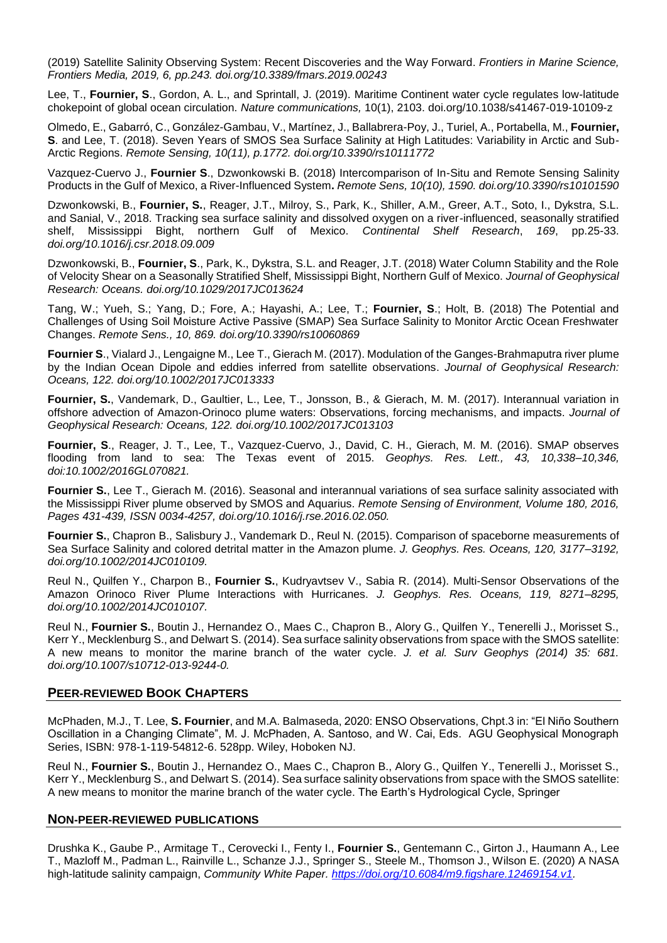(2019) Satellite Salinity Observing System: Recent Discoveries and the Way Forward. *Frontiers in Marine Science, Frontiers Media, 2019, 6, pp.243. doi.org/10.3389/fmars.2019.00243*

Lee, T., **Fournier, S**., Gordon, A. L., and Sprintall, J. (2019). Maritime Continent water cycle regulates low-latitude chokepoint of global ocean circulation. *Nature communications,* 10(1), 2103. doi.org/10.1038/s41467-019-10109-z

Olmedo, E., Gabarró, C., González-Gambau, V., Martínez, J., Ballabrera-Poy, J., Turiel, A., Portabella, M., **Fournier, S**. and Lee, T. (2018). Seven Years of SMOS Sea Surface Salinity at High Latitudes: Variability in Arctic and Sub-Arctic Regions. *Remote Sensing, 10(11), p.1772. doi.org/10.3390/rs10111772*

Vazquez-Cuervo J., **Fournier S**., Dzwonkowski B. (2018) Intercomparison of In-Situ and Remote Sensing Salinity Products in the Gulf of Mexico, a River-Influenced System**.** *Remote Sens, 10(10), 1590. doi.org/10.3390/rs10101590*

Dzwonkowski, B., **Fournier, S.**, Reager, J.T., Milroy, S., Park, K., Shiller, A.M., Greer, A.T., Soto, I., Dykstra, S.L. and Sanial, V., 2018. Tracking sea surface salinity and dissolved oxygen on a river-influenced, seasonally stratified shelf, Mississippi Bight, northern Gulf of Mexico. *Continental Shelf Research*, *169*, pp.25-33. *doi.org/10.1016/j.csr.2018.09.009*

Dzwonkowski, B., **Fournier, S**., Park, K., Dykstra, S.L. and Reager, J.T. (2018) Water Column Stability and the Role of Velocity Shear on a Seasonally Stratified Shelf, Mississippi Bight, Northern Gulf of Mexico. *Journal of Geophysical Research: Oceans. doi.org/10.1029/2017JC013624*

Tang, W.; Yueh, S.; Yang, D.; Fore, A.; Hayashi, A.; Lee, T.; **Fournier, S**.; Holt, B. (2018) The Potential and Challenges of Using Soil Moisture Active Passive (SMAP) Sea Surface Salinity to Monitor Arctic Ocean Freshwater Changes. *Remote Sens., 10, 869. doi.org/10.3390/rs10060869*

**Fournier S**., Vialard J., Lengaigne M., Lee T., Gierach M. (2017). Modulation of the Ganges-Brahmaputra river plume by the Indian Ocean Dipole and eddies inferred from satellite observations. *Journal of Geophysical Research: Oceans, 122. doi.org/10.1002/2017JC013333*

**Fournier, S.**, Vandemark, D., Gaultier, L., Lee, T., Jonsson, B., & Gierach, M. M. (2017). Interannual variation in offshore advection of Amazon-Orinoco plume waters: Observations, forcing mechanisms, and impacts. *Journal of Geophysical Research: Oceans, 122. doi.org/10.1002/2017JC013103*

**Fournier, S**., Reager, J. T., Lee, T., Vazquez‐Cuervo, J., David, C. H., Gierach, M. M. (2016). SMAP observes flooding from land to sea: The Texas event of 2015. *Geophys. Res. Lett., 43, 10,338–10,346, doi:10.1002/2016GL070821.*

**Fournier S.**, Lee T., Gierach M. (2016). Seasonal and interannual variations of sea surface salinity associated with the Mississippi River plume observed by SMOS and Aquarius. *Remote Sensing of Environment, Volume 180, 2016, Pages 431-439, ISSN 0034-4257, doi.org/10.1016/j.rse.2016.02.050.*

**Fournier S.**, Chapron B., Salisbury J., Vandemark D., Reul N. (2015). Comparison of spaceborne measurements of Sea Surface Salinity and colored detrital matter in the Amazon plume. *J. Geophys. Res. Oceans, 120, 3177–3192, doi.org/10.1002/2014JC010109.*

Reul N., Quilfen Y., Charpon B., **Fournier S.**, Kudryavtsev V., Sabia R. (2014). Multi-Sensor Observations of the Amazon Orinoco River Plume Interactions with Hurricanes. *J. Geophys. Res. Oceans, 119, 8271–8295, doi.org/10.1002/2014JC010107.*

Reul N., **Fournier S.**, Boutin J., Hernandez O., Maes C., Chapron B., Alory G., Quilfen Y., Tenerelli J., Morisset S., Kerr Y., Mecklenburg S., and Delwart S. (2014). Sea surface salinity observations from space with the SMOS satellite: A new means to monitor the marine branch of the water cycle. *J. et al. Surv Geophys (2014) 35: 681. doi.org/10.1007/s10712-013-9244-0.*

## **PEER-REVIEWED BOOK CHAPTERS**

McPhaden, M.J., T. Lee, **S. Fournier**, and M.A. Balmaseda, 2020: ENSO Observations, Chpt.3 in: "El Niño Southern Oscillation in a Changing Climate", M. J. McPhaden, A. Santoso, and W. Cai, Eds. AGU Geophysical Monograph Series, ISBN: 978-1-119-54812-6. 528pp. Wiley, Hoboken NJ.

Reul N., **Fournier S.**, Boutin J., Hernandez O., Maes C., Chapron B., Alory G., Quilfen Y., Tenerelli J., Morisset S., Kerr Y., Mecklenburg S., and Delwart S. (2014). Sea surface salinity observations from space with the SMOS satellite: A new means to monitor the marine branch of the water cycle. The Earth's Hydrological Cycle, Springer

#### **NON-PEER-REVIEWED PUBLICATIONS**

Drushka K., Gaube P., Armitage T., Cerovecki I., Fenty I., **Fournier S.**, Gentemann C., Girton J., Haumann A., Lee T., Mazloff M., Padman L., Rainville L., Schanze J.J., Springer S., Steele M., Thomson J., Wilson E. (2020) A NASA high-latitude salinity campaign, *Community White Paper. [https://doi.org/10.6084/m9.figshare.12469154.v1.](https://doi.org/10.6084/m9.figshare.12469154.v1)*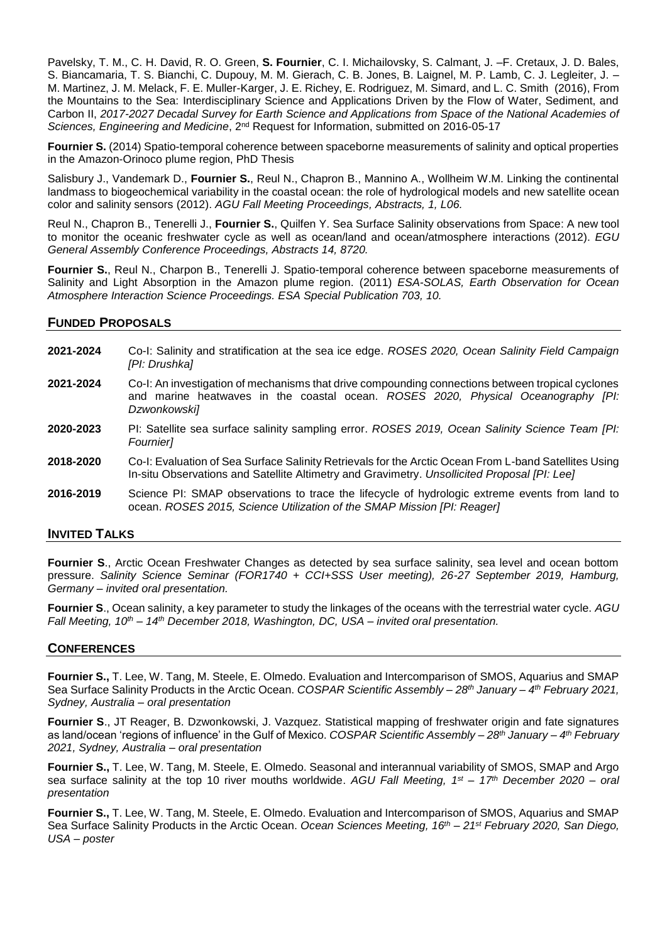Pavelsky, T. M., C. H. David, R. O. Green, **S. Fournier**, C. I. Michailovsky, S. Calmant, J. –F. Cretaux, J. D. Bales, S. Biancamaria, T. S. Bianchi, C. Dupouy, M. M. Gierach, C. B. Jones, B. Laignel, M. P. Lamb, C. J. Legleiter, J. – M. Martinez, J. M. Melack, F. E. Muller-Karger, J. E. Richey, E. Rodriguez, M. Simard, and L. C. Smith (2016), From the Mountains to the Sea: Interdisciplinary Science and Applications Driven by the Flow of Water, Sediment, and Carbon II, *2017-2027 Decadal Survey for Earth Science and Applications from Space of the National Academies of Sciences, Engineering and Medicine*, 2nd Request for Information, submitted on 2016-05-17

**Fournier S.** (2014) Spatio-temporal coherence between spaceborne measurements of salinity and optical properties in the Amazon-Orinoco plume region, PhD Thesis

Salisbury J., Vandemark D., **Fournier S.**, Reul N., Chapron B., Mannino A., Wollheim W.M. Linking the continental landmass to biogeochemical variability in the coastal ocean: the role of hydrological models and new satellite ocean color and salinity sensors (2012). *AGU Fall Meeting Proceedings, Abstracts, 1, L06.*

Reul N., Chapron B., Tenerelli J., **Fournier S.**, Quilfen Y. Sea Surface Salinity observations from Space: A new tool to monitor the oceanic freshwater cycle as well as ocean/land and ocean/atmosphere interactions (2012). *EGU General Assembly Conference Proceedings, Abstracts 14, 8720.*

**Fournier S.**, Reul N., Charpon B., Tenerelli J. Spatio-temporal coherence between spaceborne measurements of Salinity and Light Absorption in the Amazon plume region. (2011) *ESA-SOLAS, Earth Observation for Ocean Atmosphere Interaction Science Proceedings. ESA Special Publication 703, 10.*

## **FUNDED PROPOSALS**

- **2021-2024** Co-I: Salinity and stratification at the sea ice edge. *ROSES 2020, Ocean Salinity Field Campaign [PI: Drushka]*
- **2021-2024** Co-I: An investigation of mechanisms that drive compounding connections between tropical cyclones and marine heatwaves in the coastal ocean. *ROSES 2020, Physical Oceanography [PI: Dzwonkowski]*
- **2020-2023** PI: Satellite sea surface salinity sampling error. *ROSES 2019, Ocean Salinity Science Team [PI: Fournier]*
- **2018-2020** Co-I: Evaluation of Sea Surface Salinity Retrievals for the Arctic Ocean From L-band Satellites Using In-situ Observations and Satellite Altimetry and Gravimetry. *Unsollicited Proposal [PI: Lee]*
- **2016-2019** Science PI: SMAP observations to trace the lifecycle of hydrologic extreme events from land to ocean. *ROSES 2015, Science Utilization of the SMAP Mission [PI: Reager]*

## **INVITED TALKS**

**Fournier S., Arctic Ocean Freshwater Changes as detected by sea surface salinity, sea level and ocean bottom** pressure. *Salinity Science Seminar (FOR1740 + CCI+SSS User meeting), 26-27 September 2019, Hamburg, Germany – invited oral presentation.*

**Fournier S**., Ocean salinity, a key parameter to study the linkages of the oceans with the terrestrial water cycle. *AGU Fall Meeting, 10<sup>th</sup> – 14<sup>th</sup> December 2018, Washington, DC, USA – invited oral presentation.* 

## **CONFERENCES**

**Fournier S.,** T. Lee, W. Tang, M. Steele, E. Olmedo. Evaluation and Intercomparison of SMOS, Aquarius and SMAP Sea Surface Salinity Products in the Arctic Ocean. *COSPAR Scientific Assembly – 28th January – 4 th February 2021, Sydney, Australia – oral presentation*

**Fournier S**., JT Reager, B. Dzwonkowski, J. Vazquez. Statistical mapping of freshwater origin and fate signatures as land/ocean 'regions of influence' in the Gulf of Mexico. *COSPAR Scientific Assembly – 28th January – 4 th February 2021, Sydney, Australia – oral presentation*

**Fournier S.,** T. Lee, W. Tang, M. Steele, E. Olmedo. Seasonal and interannual variability of SMOS, SMAP and Argo sea surface salinity at the top 10 river mouths worldwide. *AGU Fall Meeting, 1 st – 17th December 2020 – oral presentation*

**Fournier S.,** T. Lee, W. Tang, M. Steele, E. Olmedo. Evaluation and Intercomparison of SMOS, Aquarius and SMAP Sea Surface Salinity Products in the Arctic Ocean. *Ocean Sciences Meeting, 16th – 21st February 2020, San Diego, USA – poster*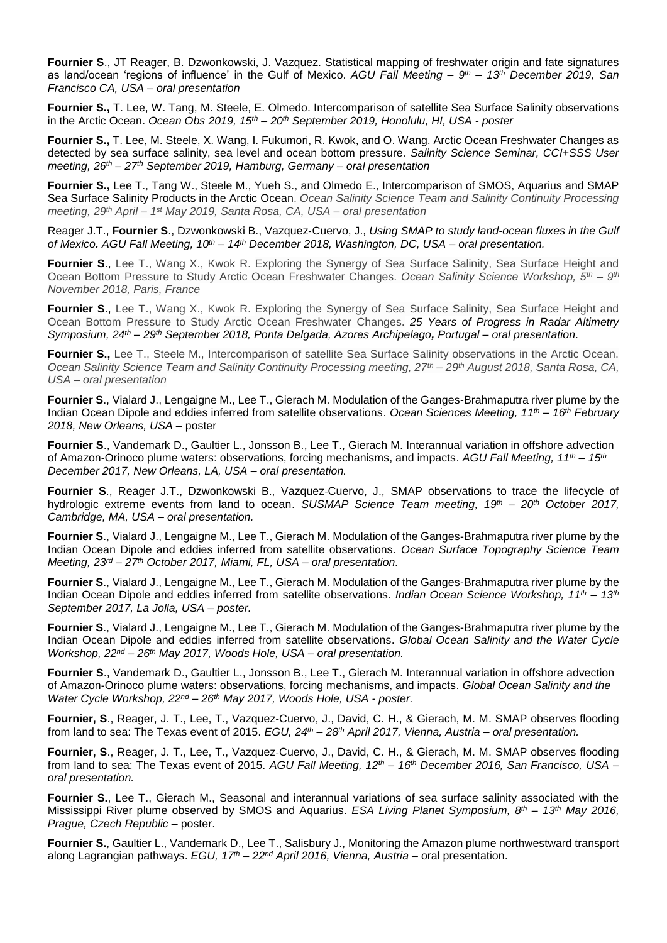**Fournier S**., JT Reager, B. Dzwonkowski, J. Vazquez. Statistical mapping of freshwater origin and fate signatures as land/ocean 'regions of influence' in the Gulf of Mexico. *AGU Fall Meeting – 9 th – 13th December 2019, San Francisco CA, USA – oral presentation*

**Fournier S.,** T. Lee, W. Tang, M. Steele, E. Olmedo. Intercomparison of satellite Sea Surface Salinity observations in the Arctic Ocean. *Ocean Obs 2019, 15th – 20th September 2019, Honolulu, HI, USA - poster*

**Fournier S.,** T. Lee, M. Steele, X. Wang, I. Fukumori, R. Kwok, and O. Wang. Arctic Ocean Freshwater Changes as detected by sea surface salinity, sea level and ocean bottom pressure. *Salinity Science Seminar, CCI+SSS User meeting, 26th – 27th September 2019, Hamburg, Germany – oral presentation*

**Fournier S.,** Lee T., Tang W., Steele M., Yueh S., and Olmedo E., Intercomparison of SMOS, Aquarius and SMAP Sea Surface Salinity Products in the Arctic Ocean. *Ocean Salinity Science Team and Salinity Continuity Processing meeting, 29 th April – 1 st May 2019, Santa Rosa, CA, USA – oral presentation*

Reager J.T., **Fournier S**., Dzwonkowski B., Vazquez‐Cuervo, J., *Using SMAP to study land-ocean fluxes in the Gulf of Mexico. AGU Fall Meeting, 10 th – 14 th December 2018, Washington, DC, USA – oral presentation.*

**Fournier S.**, Lee T., Wang X., Kwok R. Exploring the Synergy of Sea Surface Salinity, Sea Surface Height and Ocean Bottom Pressure to Study Arctic Ocean Freshwater Changes. *Ocean Salinity Science Workshop, 5th – 9 th November 2018, Paris, France*

**Fournier S., Lee T., Wang X., Kwok R. Exploring the Synergy of Sea Surface Salinity, Sea Surface Height and** Ocean Bottom Pressure to Study Arctic Ocean Freshwater Changes. *25 Years of Progress in Radar Altimetry Symposium, 24th – 29th September 2018, Ponta Delgada, Azores Archipelago, Portugal – oral presentation*.

**Fournier S.,** Lee T., Steele M., Intercomparison of satellite Sea Surface Salinity observations in the Arctic Ocean. *Ocean Salinity Science Team and Salinity Continuity Processing meeting, 27th – 29th August 2018, Santa Rosa, CA, USA – oral presentation*

**Fournier S**., Vialard J., Lengaigne M., Lee T., Gierach M. Modulation of the Ganges-Brahmaputra river plume by the Indian Ocean Dipole and eddies inferred from satellite observations. *Ocean Sciences Meeting, 11th – 16th February 2018, New Orleans, USA* – poster

**Fournier S**., Vandemark D., Gaultier L., Jonsson B., Lee T., Gierach M. Interannual variation in offshore advection of Amazon-Orinoco plume waters: observations, forcing mechanisms, and impacts. *AGU Fall Meeting, 11th – 15th December 2017, New Orleans, LA, USA – oral presentation.*

**Fournier S**., Reager J.T., Dzwonkowski B., Vazquez‐Cuervo, J., SMAP observations to trace the lifecycle of hydrologic extreme events from land to ocean. *SUSMAP Science Team meeting, 19th – 20 th October 2017, Cambridge, MA, USA – oral presentation.*

**Fournier S**., Vialard J., Lengaigne M., Lee T., Gierach M. Modulation of the Ganges-Brahmaputra river plume by the Indian Ocean Dipole and eddies inferred from satellite observations. *Ocean Surface Topography Science Team Meeting, 23rd – 27th October 2017, Miami, FL, USA – oral presentation.*

**Fournier S**., Vialard J., Lengaigne M., Lee T., Gierach M. Modulation of the Ganges-Brahmaputra river plume by the Indian Ocean Dipole and eddies inferred from satellite observations. *Indian Ocean Science Workshop, 11th – 13th September 2017, La Jolla, USA – poster.*

**Fournier S**., Vialard J., Lengaigne M., Lee T., Gierach M. Modulation of the Ganges-Brahmaputra river plume by the Indian Ocean Dipole and eddies inferred from satellite observations. *Global Ocean Salinity and the Water Cycle Workshop, 22nd – 26th May 2017, Woods Hole, USA – oral presentation.*

**Fournier S**., Vandemark D., Gaultier L., Jonsson B., Lee T., Gierach M. Interannual variation in offshore advection of Amazon-Orinoco plume waters: observations, forcing mechanisms, and impacts. *Global Ocean Salinity and the Water Cycle Workshop, 22nd – 26th May 2017, Woods Hole, USA - poster.*

**Fournier, S**., Reager, J. T., Lee, T., Vazquez‐Cuervo, J., David, C. H., & Gierach, M. M. SMAP observes flooding from land to sea: The Texas event of 2015. *EGU, 24th – 28th April 2017, Vienna, Austria – oral presentation.*

**Fournier, S**., Reager, J. T., Lee, T., Vazquez‐Cuervo, J., David, C. H., & Gierach, M. M. SMAP observes flooding from land to sea: The Texas event of 2015. *AGU Fall Meeting, 12th – 16th December 2016, San Francisco, USA – oral presentation.*

**Fournier S.**, Lee T., Gierach M., Seasonal and interannual variations of sea surface salinity associated with the Mississippi River plume observed by SMOS and Aquarius. *ESA Living Planet Symposium, 8 th – 13th May 2016, Prague, Czech Republic* – poster.

**Fournier S.**, Gaultier L., Vandemark D., Lee T., Salisbury J., Monitoring the Amazon plume northwestward transport along Lagrangian pathways. *EGU, 17 th – 22nd April 2016, Vienna, Austria* – oral presentation.